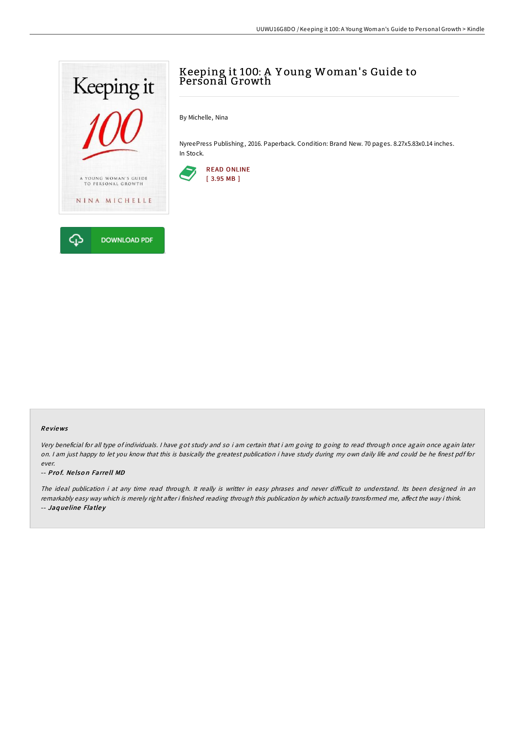

# Keeping it 100: A Y oung Woman' s Guide to Personal Growth

By Michelle, Nina

NyreePress Publishing, 2016. Paperback. Condition: Brand New. 70 pages. 8.27x5.83x0.14 inches. In Stock.



#### Re views

Very beneficial for all type of individuals. <sup>I</sup> have got study and so i am certain that i am going to going to read through once again once again later on. <sup>I</sup> am just happy to let you know that this is basically the greatest publication i have study during my own daily life and could be he finest pdf for ever.

#### -- Prof. Nelson Farrell MD

The ideal publication i at any time read through. It really is writter in easy phrases and never difficult to understand. Its been designed in an remarkably easy way which is merely right after i finished reading through this publication by which actually transformed me, affect the way i think. -- Jaq ue line Flatle y